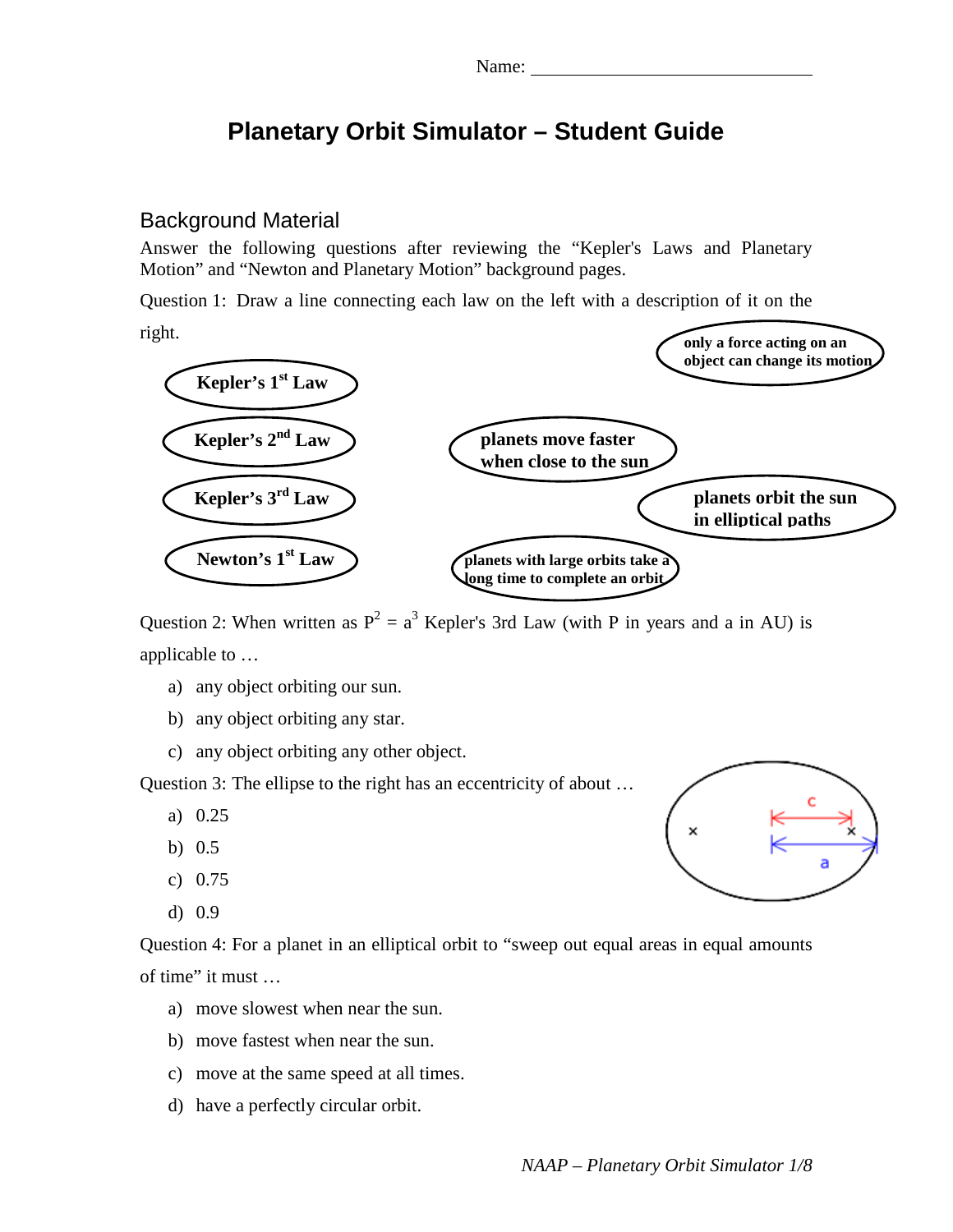# **Planetary Orbit Simulator – Student Guide**

#### Background Material

Answer the following questions after reviewing the "Kepler's Laws and Planetary Motion" and "Newton and Planetary Motion" background pages.

Question 1: Draw a line connecting each law on the left with a description of it on the

right.



Question 2: When written as  $P^2 = a^3$  Kepler's 3rd Law (with P in years and a in AU) is applicable to …

- a) any object orbiting our sun.
- b) any object orbiting any star.
- c) any object orbiting any other object.

Question 3: The ellipse to the right has an eccentricity of about …

- a) 0.25
- b) 0.5
- c) 0.75
- d) 0.9

Question 4: For a planet in an elliptical orbit to "sweep out equal areas in equal amounts of time" it must …

- a) move slowest when near the sun.
- b) move fastest when near the sun.
- c) move at the same speed at all times.
- d) have a perfectly circular orbit.

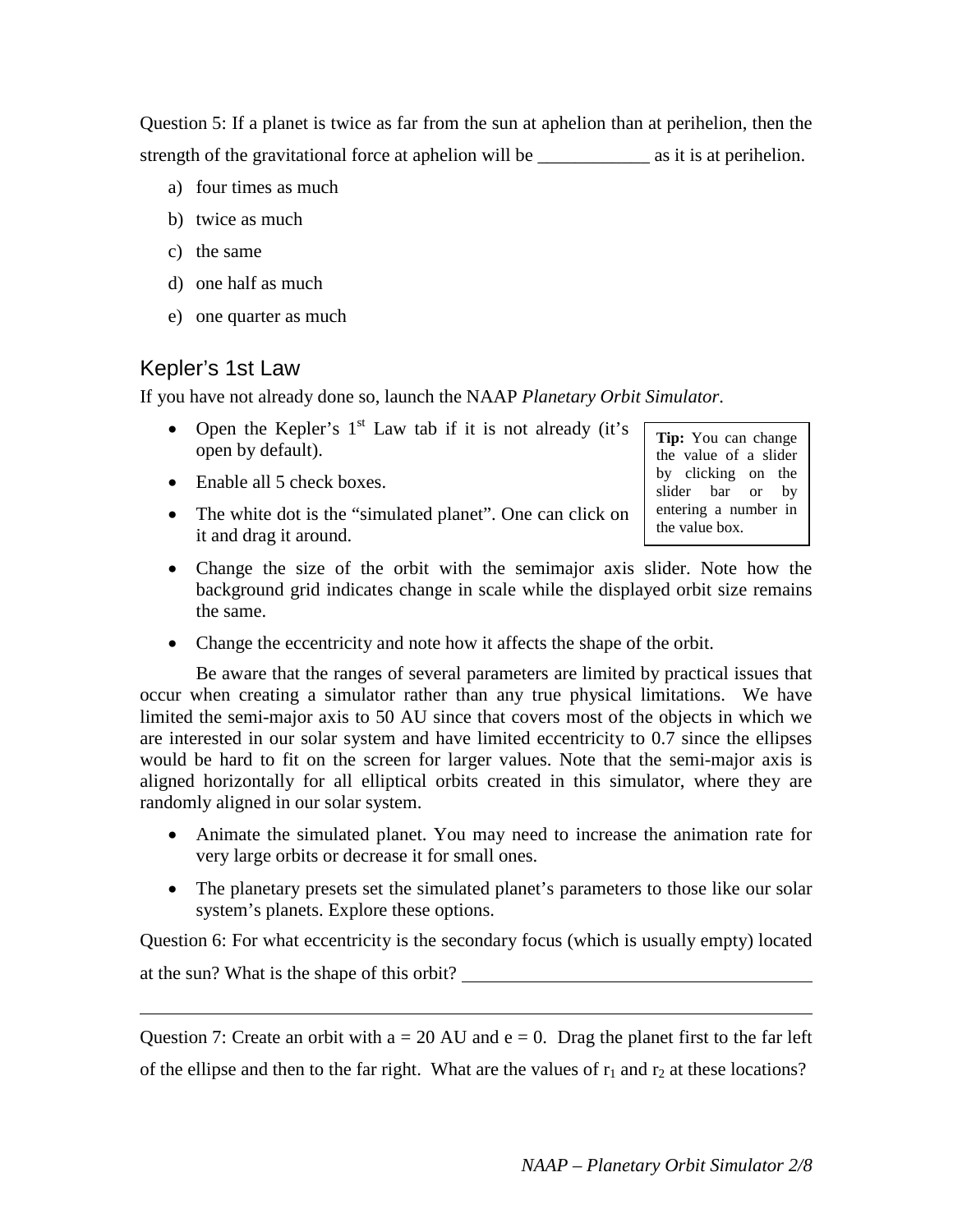Question 5: If a planet is twice as far from the sun at aphelion than at perihelion, then the strength of the gravitational force at aphelion will be \_\_\_\_\_\_\_\_\_\_\_\_ as it is at perihelion.

- a) four times as much
- b) twice as much
- c) the same
- d) one half as much
- e) one quarter as much

### Kepler's 1st Law

If you have not already done so, launch the NAAP *Planetary Orbit Simulator*.

- Open the Kepler's  $1<sup>st</sup>$  Law tab if it is not already (it's open by default).
- Enable all 5 check boxes.
- The white dot is the "simulated planet". One can click on it and drag it around.

**Tip:** You can change the value of a slider by clicking on the slider bar or by entering a number in the value box.

- Change the size of the orbit with the semimajor axis slider. Note how the background grid indicates change in scale while the displayed orbit size remains the same.
- Change the eccentricity and note how it affects the shape of the orbit.

Be aware that the ranges of several parameters are limited by practical issues that occur when creating a simulator rather than any true physical limitations. We have limited the semi-major axis to 50 AU since that covers most of the objects in which we are interested in our solar system and have limited eccentricity to 0.7 since the ellipses would be hard to fit on the screen for larger values. Note that the semi-major axis is aligned horizontally for all elliptical orbits created in this simulator, where they are randomly aligned in our solar system.

- Animate the simulated planet. You may need to increase the animation rate for very large orbits or decrease it for small ones.
- The planetary presets set the simulated planet's parameters to those like our solar system's planets. Explore these options.

Question 6: For what eccentricity is the secondary focus (which is usually empty) located at the sun? What is the shape of this orbit?

Question 7: Create an orbit with  $a = 20$  AU and  $e = 0$ . Drag the planet first to the far left of the ellipse and then to the far right. What are the values of  $r_1$  and  $r_2$  at these locations?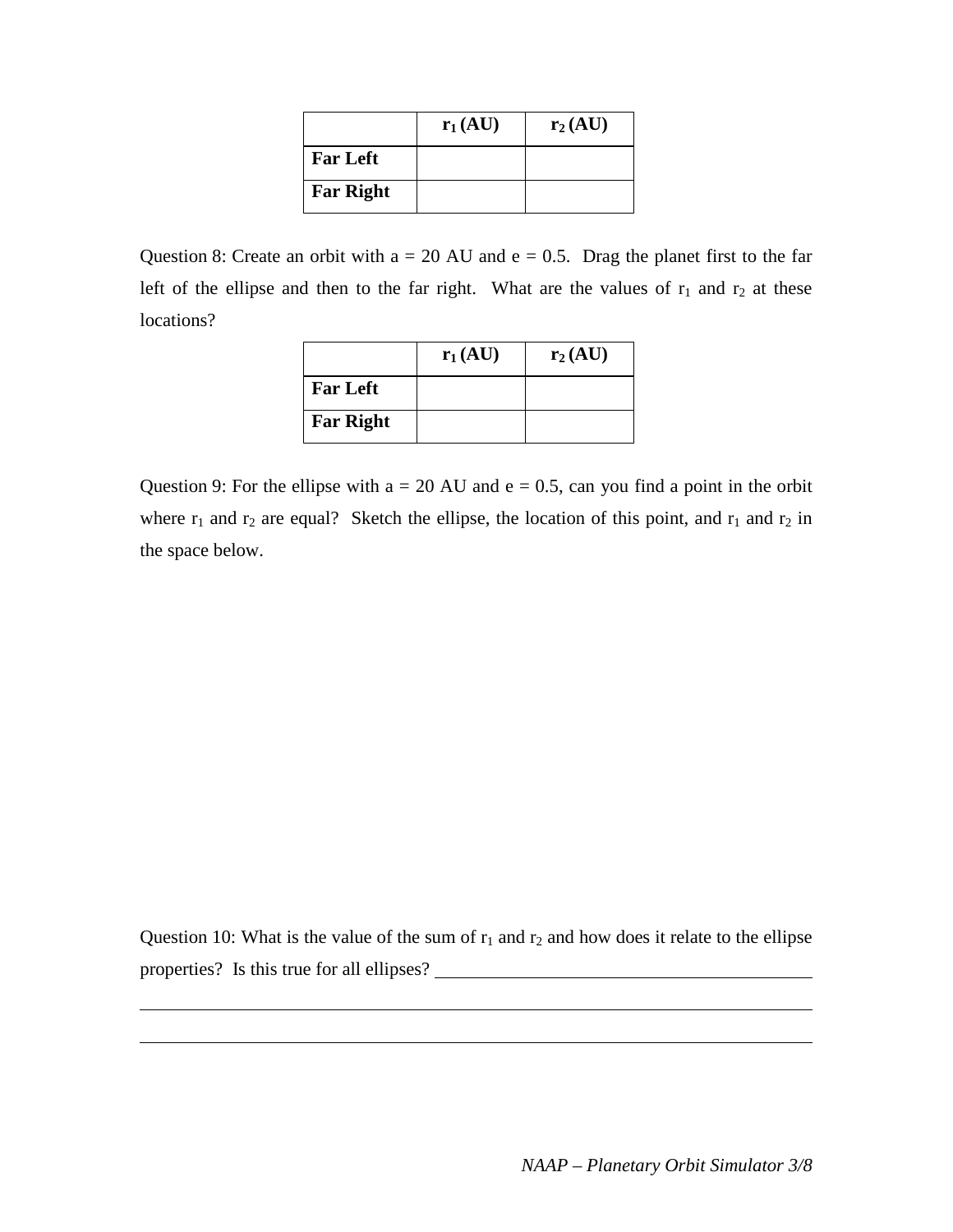|                  | $r_1(AU)$ | $r_2(AU)$ |
|------------------|-----------|-----------|
| <b>Far Left</b>  |           |           |
| <b>Far Right</b> |           |           |

Question 8: Create an orbit with  $a = 20$  AU and  $e = 0.5$ . Drag the planet first to the far left of the ellipse and then to the far right. What are the values of  $r_1$  and  $r_2$  at these locations?

|                  | $r_1(AU)$ | $r_2(AU)$ |
|------------------|-----------|-----------|
| <b>Far Left</b>  |           |           |
| <b>Far Right</b> |           |           |

Question 9: For the ellipse with  $a = 20$  AU and  $e = 0.5$ , can you find a point in the orbit where  $r_1$  and  $r_2$  are equal? Sketch the ellipse, the location of this point, and  $r_1$  and  $r_2$  in the space below.

Question 10: What is the value of the sum of  $r_1$  and  $r_2$  and how does it relate to the ellipse properties? Is this true for all ellipses?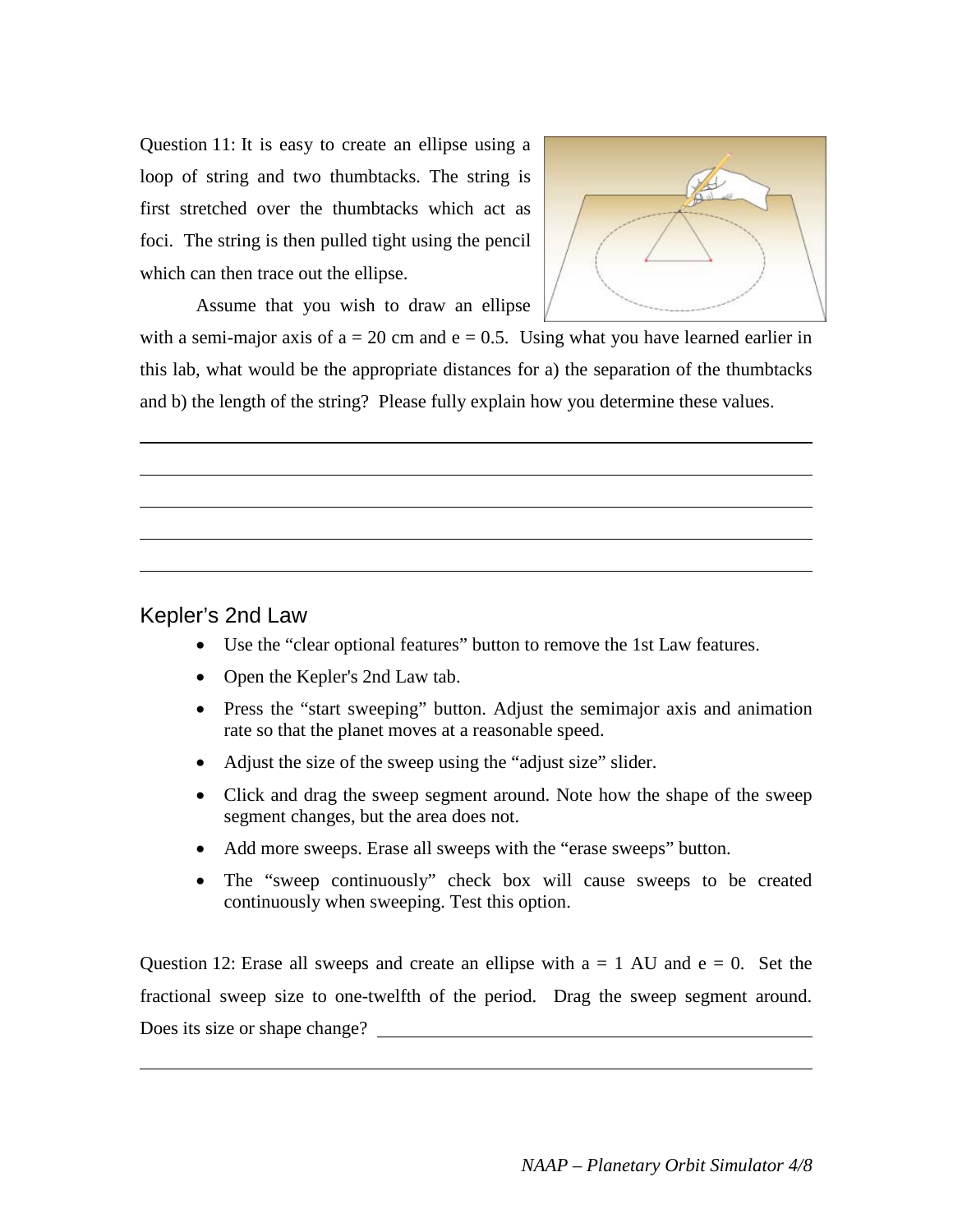Question 11: It is easy to create an ellipse using a loop of string and two thumbtacks. The string is first stretched over the thumbtacks which act as foci. The string is then pulled tight using the pencil which can then trace out the ellipse.



Assume that you wish to draw an ellipse

with a semi-major axis of  $a = 20$  cm and  $e = 0.5$ . Using what you have learned earlier in this lab, what would be the appropriate distances for a) the separation of the thumbtacks and b) the length of the string? Please fully explain how you determine these values.

#### Kepler's 2nd Law

- Use the "clear optional features" button to remove the 1st Law features.
- Open the Kepler's 2nd Law tab.
- Press the "start sweeping" button. Adjust the semimajor axis and animation rate so that the planet moves at a reasonable speed.
- Adjust the size of the sweep using the "adjust size" slider.
- Click and drag the sweep segment around. Note how the shape of the sweep segment changes, but the area does not.
- Add more sweeps. Erase all sweeps with the "erase sweeps" button.
- The "sweep continuously" check box will cause sweeps to be created continuously when sweeping. Test this option.

Question 12: Erase all sweeps and create an ellipse with  $a = 1$  AU and  $e = 0$ . Set the fractional sweep size to one-twelfth of the period. Drag the sweep segment around. Does its size or shape change?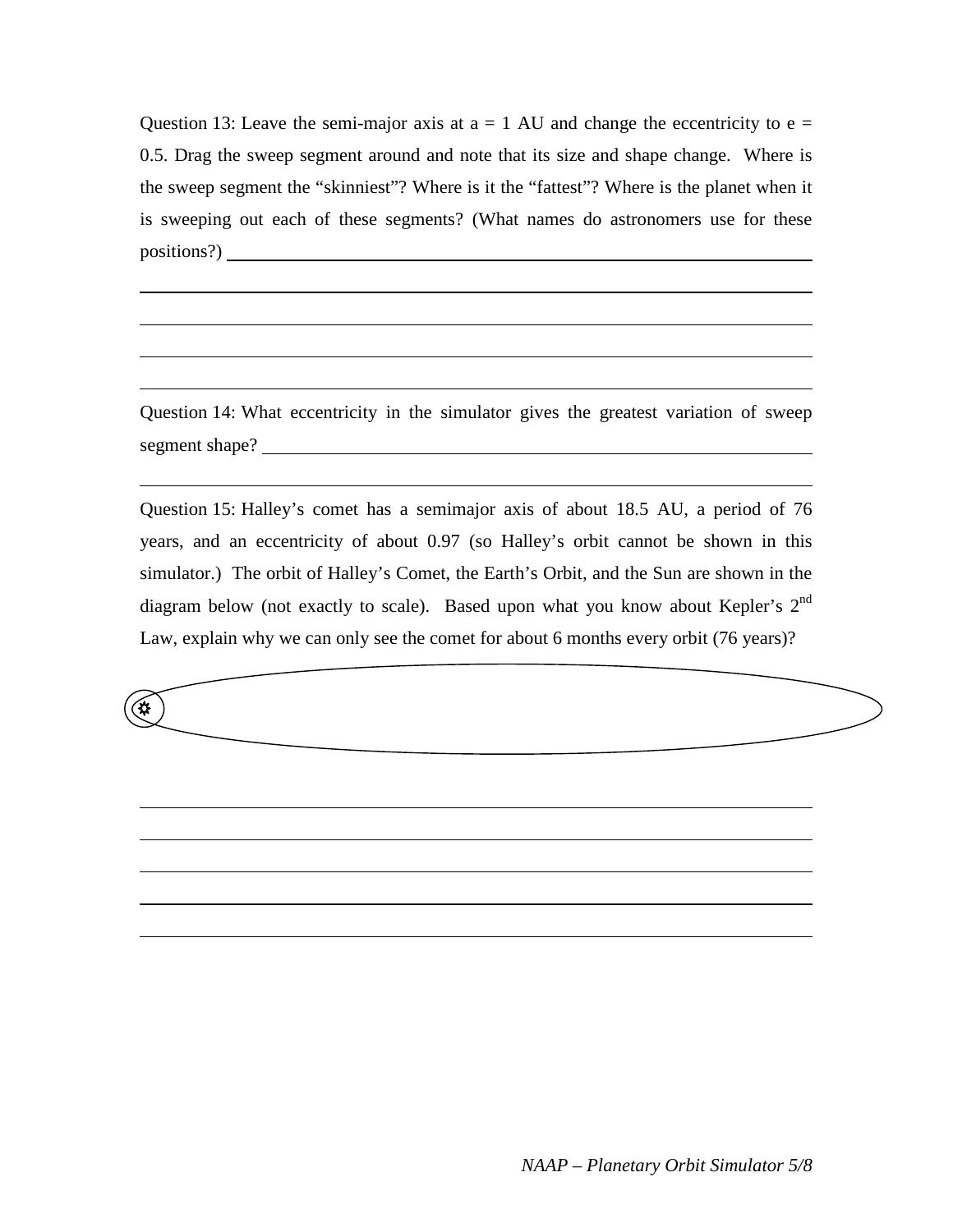Question 13: Leave the semi-major axis at  $a = 1$  AU and change the eccentricity to  $e =$ 0.5. Drag the sweep segment around and note that its size and shape change. Where is the sweep segment the "skinniest"? Where is it the "fattest"? Where is the planet when it is sweeping out each of these segments? (What names do astronomers use for these positions?)

Question 14: What eccentricity in the simulator gives the greatest variation of sweep segment shape?

Question 15: Halley's comet has a semimajor axis of about 18.5 AU, a period of 76 years, and an eccentricity of about 0.97 (so Halley's orbit cannot be shown in this simulator.) The orbit of Halley's Comet, the Earth's Orbit, and the Sun are shown in the diagram below (not exactly to scale). Based upon what you know about Kepler's  $2<sup>nd</sup>$ Law, explain why we can only see the comet for about 6 months every orbit (76 years)?

 $\bigoplus$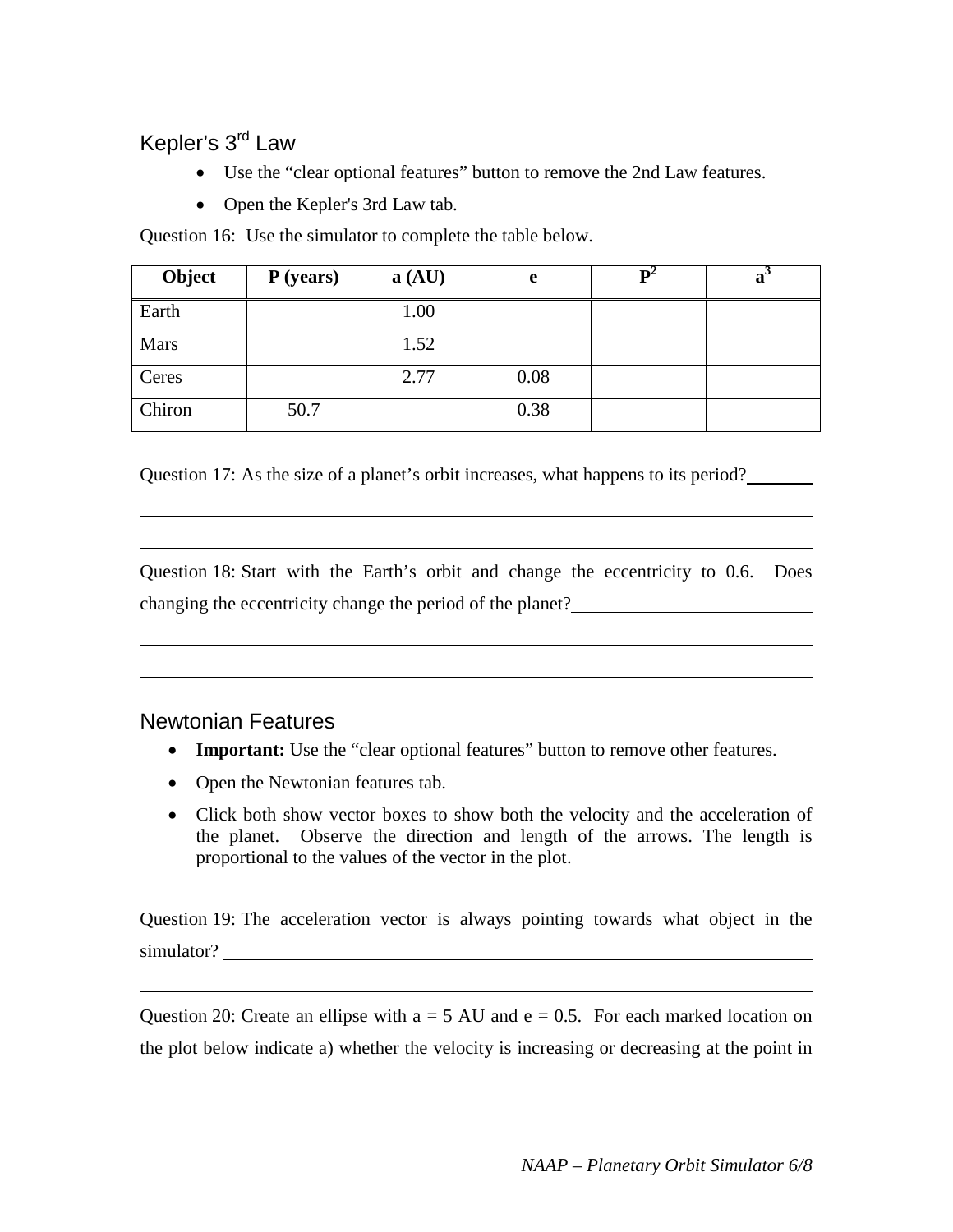## Kepler's 3rd Law

- Use the "clear optional features" button to remove the 2nd Law features.
- Open the Kepler's 3rd Law tab.

Question 16: Use the simulator to complete the table below.

| Object      | P (years) | a (AU) | e    | a |
|-------------|-----------|--------|------|---|
| Earth       |           | 1.00   |      |   |
| <b>Mars</b> |           | 1.52   |      |   |
| Ceres       |           | 2.77   | 0.08 |   |
| Chiron      | 50.7      |        | 0.38 |   |

Question 17: As the size of a planet's orbit increases, what happens to its period?

Question 18: Start with the Earth's orbit and change the eccentricity to 0.6. Does changing the eccentricity change the period of the planet?

### Newtonian Features

- **Important:** Use the "clear optional features" button to remove other features.
- Open the Newtonian features tab.
- Click both show vector boxes to show both the velocity and the acceleration of the planet. Observe the direction and length of the arrows. The length is proportional to the values of the vector in the plot.

Question 19: The acceleration vector is always pointing towards what object in the simulator?

Question 20: Create an ellipse with  $a = 5 AU$  and  $e = 0.5$ . For each marked location on the plot below indicate a) whether the velocity is increasing or decreasing at the point in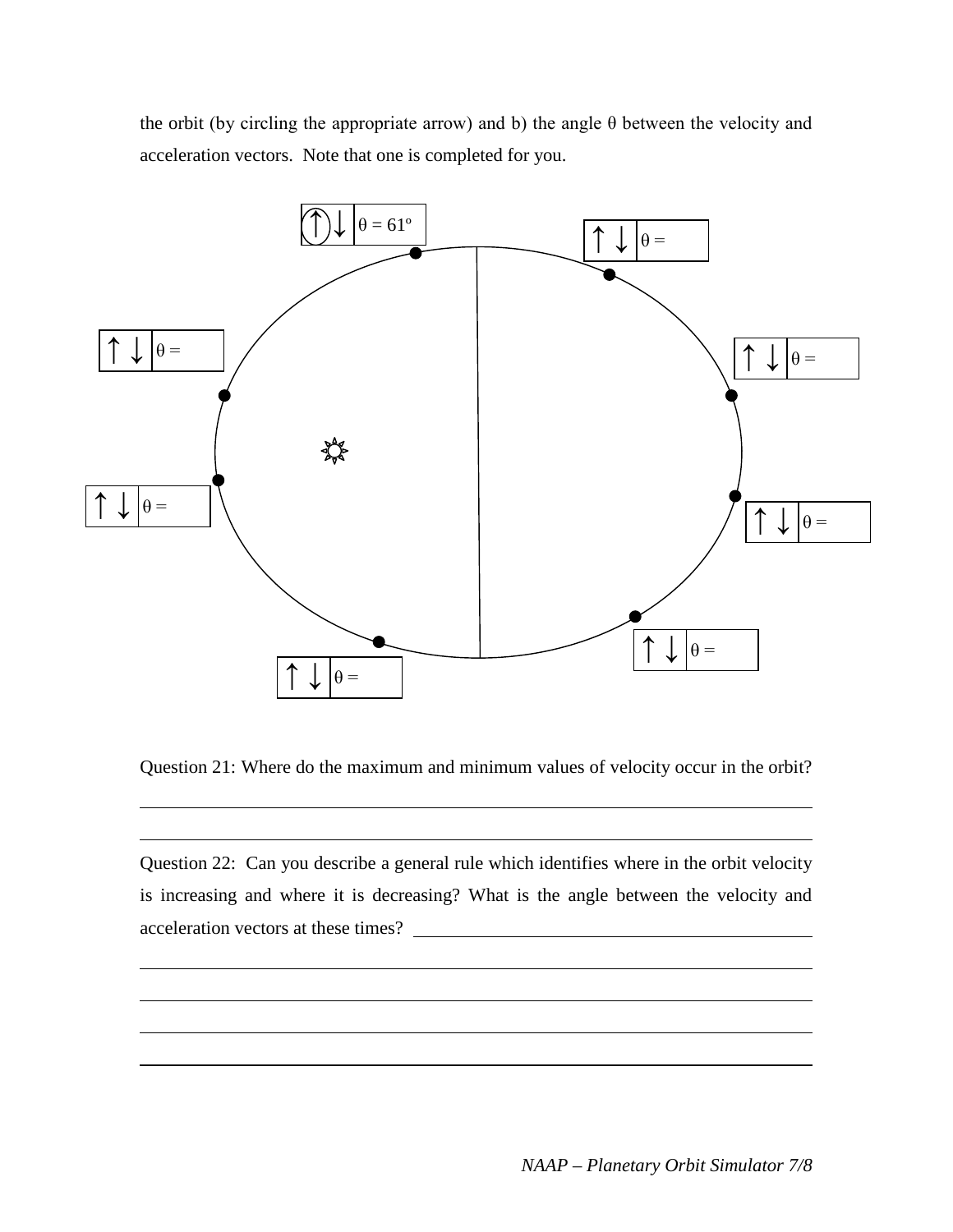the orbit (by circling the appropriate arrow) and b) the angle θ between the velocity and acceleration vectors. Note that one is completed for you.



Question 21: Where do the maximum and minimum values of velocity occur in the orbit?

Question 22: Can you describe a general rule which identifies where in the orbit velocity is increasing and where it is decreasing? What is the angle between the velocity and acceleration vectors at these times?